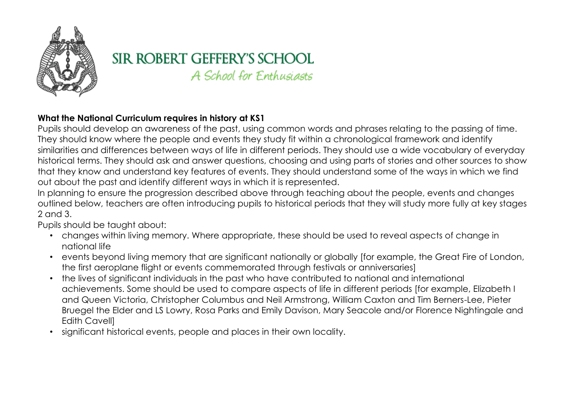

## **SIR ROBERT GEFFERY'S SCHOOL**

A School for Enthusiasts

## **What the National Curriculum requires in history at KS1**

Pupils should develop an awareness of the past, using common words and phrases relating to the passing of time. They should know where the people and events they study fit within a chronological framework and identify similarities and differences between ways of life in different periods. They should use a wide vocabulary of everyday historical terms. They should ask and answer questions, choosing and using parts of stories and other sources to show that they know and understand key features of events. They should understand some of the ways in which we find out about the past and identify different ways in which it is represented.

In planning to ensure the progression described above through teaching about the people, events and changes outlined below, teachers are often introducing pupils to historical periods that they will study more fully at key stages 2 and 3.

Pupils should be taught about:

- changes within living memory. Where appropriate, these should be used to reveal aspects of change in national life
- events beyond living memory that are significant nationally or globally [for example, the Great Fire of London, the first aeroplane flight or events commemorated through festivals or anniversaries]
- the lives of significant individuals in the past who have contributed to national and international achievements. Some should be used to compare aspects of life in different periods [for example, Elizabeth I and Queen Victoria, Christopher Columbus and Neil Armstrong, William Caxton and Tim Berners-Lee, Pieter Bruegel the Elder and LS Lowry, Rosa Parks and Emily Davison, Mary Seacole and/or Florence Nightingale and Edith Cavell]
- significant historical events, people and places in their own locality.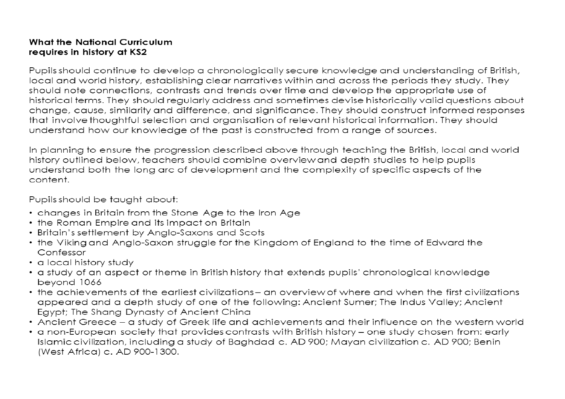## **What the National Curriculum** reauires in history at KS2

Pupils should continue to develop a chronologically secure knowledge and understanding of British, local and world history, establishing clear narratives within and across the periods they study. They should note connections, contrasts and trends over time and develop the appropriate use of historical terms. They should regularly address and sometimes devise historically valid questions about change, cause, similarity and difference, and significance. They should construct informed responses that involve thoughtful selection and organisation of relevant historical information. They should understand how our knowledge of the past is constructed from a range of sources.

In planning to ensure the progression described above through teaching the British, local and world history outlined below, teachers should combine overview and depth studies to help pupils understand both the long arc of development and the complexity of specific aspects of the content.

Pupils should be tauaht about:

- changes in Britain from the Stone Age to the Iron Age
- the Roman Empire and its impact on Britain
- Britain's settlement by Analo-Saxons and Scots
- the Viking and Anglo-Saxon struggle for the Kingdom of England to the time of Edward the Confessor
- a local history study
- a study of an aspect or theme in British history that extends pupils' chronological knowledge bevond 1066
- the achievements of the earliest civilizations an overview of where and when the first civilizations appeared and a depth study of one of the following: Ancient Sumer; The Indus Valley; Ancient Eavpt: The Shana Dynasty of Ancient China
- Ancient Greece a study of Greek life and achievements and their influence on the western world
- a non-European society that provides contrasts with British history one study chosen from: early Islamic civilization, including a study of Baghdad c. AD 900; Mayan civilization c. AD 900; Benin (West Africa) c. AD 900-1300.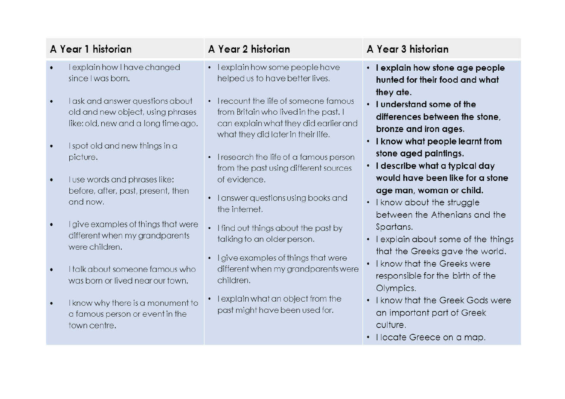| A Year 1 historian                                                                                                                                                                                                                                                                                                                                                                                                                                                                                   | A Year 2 historian                                                                                                                                                                                                                                                                                                                                                                                                                                                                                                                                                        | A Year 3 historian                                                                                                                                                                                                                                                                                                                                                                                                                                                                                                                                                                                 |
|------------------------------------------------------------------------------------------------------------------------------------------------------------------------------------------------------------------------------------------------------------------------------------------------------------------------------------------------------------------------------------------------------------------------------------------------------------------------------------------------------|---------------------------------------------------------------------------------------------------------------------------------------------------------------------------------------------------------------------------------------------------------------------------------------------------------------------------------------------------------------------------------------------------------------------------------------------------------------------------------------------------------------------------------------------------------------------------|----------------------------------------------------------------------------------------------------------------------------------------------------------------------------------------------------------------------------------------------------------------------------------------------------------------------------------------------------------------------------------------------------------------------------------------------------------------------------------------------------------------------------------------------------------------------------------------------------|
| I explain how I have changed<br>since I was born.                                                                                                                                                                                                                                                                                                                                                                                                                                                    | • lexplain how some people have<br>helped us to have better lives.                                                                                                                                                                                                                                                                                                                                                                                                                                                                                                        | • I explain how stone age people<br>hunted for their food and what                                                                                                                                                                                                                                                                                                                                                                                                                                                                                                                                 |
| I ask and answer questions about<br>$\bullet$<br>old and new object, using phrases<br>like: old, new and a long time ago.<br>I spot old and new things in a<br>picture.<br>I use words and phrases like:<br>before, after, past, present, then<br>and now.<br>I give examples of things that were<br>different when my grandparents<br>were children.<br>I talk about someone famous who<br>was born or lived near our town.<br>I know why there is a monument to<br>a famous person or event in the | • I recount the life of someone famous<br>from Britain who lived in the past. I<br>can explain what they did earlier and<br>what they did later in their life.<br>• I research the life of a famous person<br>from the past using different sources<br>of evidence.<br>• I answer questions using books and<br>the internet.<br>• I find out things about the past by<br>talking to an older person.<br>• I give examples of things that were<br>different when my grandparents were<br>children.<br>• lexplain what an object from the<br>past might have been used for. | they ate.<br>I understand some of the<br>differences between the stone,<br>bronze and iron ages.<br>I know what people learnt from<br>stone aged paintings.<br>• I describe what a typical day<br>would have been like for a stone<br>age man, woman or child.<br>• I know about the struggle<br>between the Athenians and the<br>Spartans.<br>I explain about some of the things<br>$\bullet$<br>that the Greeks gave the world.<br>• I know that the Greeks were<br>responsible for the birth of the<br>Olympics.<br>• I know that the Greek Gods were<br>an important part of Greek<br>culture. |
| town centre.                                                                                                                                                                                                                                                                                                                                                                                                                                                                                         |                                                                                                                                                                                                                                                                                                                                                                                                                                                                                                                                                                           | • I locate Greece on a map.                                                                                                                                                                                                                                                                                                                                                                                                                                                                                                                                                                        |